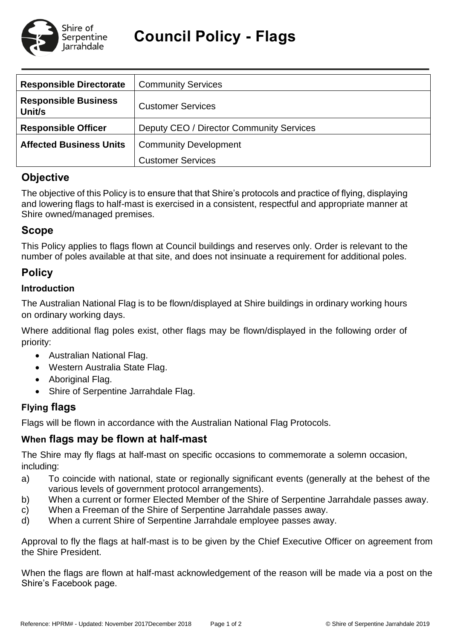

**Council Policy - Flags** 

| <b>Responsible Directorate</b>        | <b>Community Services</b>                |  |  |
|---------------------------------------|------------------------------------------|--|--|
| <b>Responsible Business</b><br>Unit/s | <b>Customer Services</b>                 |  |  |
| <b>Responsible Officer</b>            | Deputy CEO / Director Community Services |  |  |
| <b>Affected Business Units</b>        | <b>Community Development</b>             |  |  |
|                                       | <b>Customer Services</b>                 |  |  |

# **Objective**

The objective of this Policy is to ensure that that Shire's protocols and practice of flying, displaying and lowering flags to half-mast is exercised in a consistent, respectful and appropriate manner at Shire owned/managed premises.

# **Scope**

This Policy applies to flags flown at Council buildings and reserves only. Order is relevant to the number of poles available at that site, and does not insinuate a requirement for additional poles.

### **Policy**

#### **Introduction**

The Australian National Flag is to be flown/displayed at Shire buildings in ordinary working hours on ordinary working days.

Where additional flag poles exist, other flags may be flown/displayed in the following order of priority:

- Australian National Flag.
- Western Australia State Flag.
- Aboriginal Flag.
- Shire of Serpentine Jarrahdale Flag.

### **Flying flags**

Flags will be flown in accordance with the Australian National Flag Protocols.

#### **When flags may be flown at half-mast**

The Shire may fly flags at half-mast on specific occasions to commemorate a solemn occasion, including:

- a) To coincide with national, state or regionally significant events (generally at the behest of the various levels of government protocol arrangements).
- b) When a current or former Elected Member of the Shire of Serpentine Jarrahdale passes away.
- c) When a Freeman of the Shire of Serpentine Jarrahdale passes away.
- d) When a current Shire of Serpentine Jarrahdale employee passes away.

Approval to fly the flags at half-mast is to be given by the Chief Executive Officer on agreement from the Shire President.

When the flags are flown at half-mast acknowledgement of the reason will be made via a post on the Shire's Facebook page.